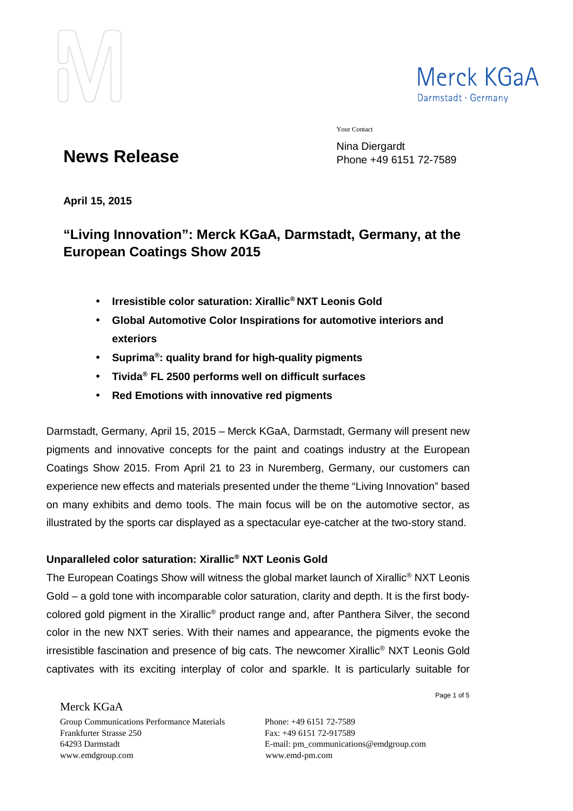



Your Contact

**News Release**

Nina Diergardt Phone +49 6151 72-7589

**April 15, 2015** 

# **"Living Innovation": Merck KGaA, Darmstadt, Germany, at the European Coatings Show 2015**

- **Irresistible color saturation: Xirallic® NXT Leonis Gold**
- **Global Automotive Color Inspirations for automotive interiors and exteriors**
- **Suprima® : quality brand for high-quality pigments**
- **Tivida® FL 2500 performs well on difficult surfaces**
- **Red Emotions with innovative red pigments**

Darmstadt, Germany, April 15, 2015 – Merck KGaA, Darmstadt, Germany will present new pigments and innovative concepts for the paint and coatings industry at the European Coatings Show 2015. From April 21 to 23 in Nuremberg, Germany, our customers can experience new effects and materials presented under the theme "Living Innovation" based on many exhibits and demo tools. The main focus will be on the automotive sector, as illustrated by the sports car displayed as a spectacular eye-catcher at the two-story stand.

## **Unparalleled color saturation: Xirallic® NXT Leonis Gold**

The European Coatings Show will witness the global market launch of Xirallic<sup>®</sup> NXT Leonis Gold – a gold tone with incomparable color saturation, clarity and depth. It is the first bodycolored gold pigment in the Xirallic® product range and, after Panthera Silver, the second color in the new NXT series. With their names and appearance, the pigments evoke the irresistible fascination and presence of big cats. The newcomer Xirallic® NXT Leonis Gold captivates with its exciting interplay of color and sparkle. It is particularly suitable for

Merck KGaA

Group Communications Performance Materials Phone: +49 6151 72-7589 Frankfurter Strasse 250 Fax: +49 6151 72-917589 64293 Darmstadt E-mail: pm\_communications@emdgroup.com www.emdgroup.com www.emd-pm.com

Page 1 of 5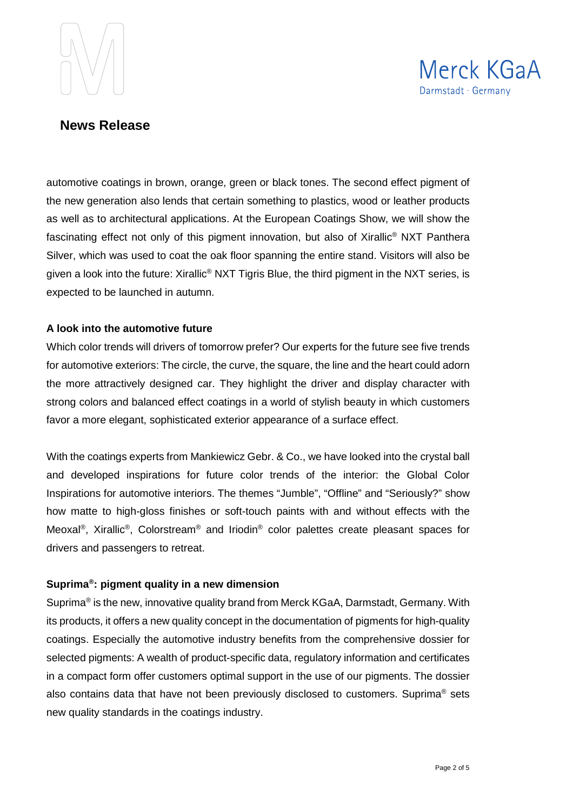



automotive coatings in brown, orange, green or black tones. The second effect pigment of the new generation also lends that certain something to plastics, wood or leather products as well as to architectural applications. At the European Coatings Show, we will show the fascinating effect not only of this pigment innovation, but also of Xirallic® NXT Panthera Silver, which was used to coat the oak floor spanning the entire stand. Visitors will also be given a look into the future: Xirallic® NXT Tigris Blue, the third pigment in the NXT series, is expected to be launched in autumn.

#### **A look into the automotive future**

Which color trends will drivers of tomorrow prefer? Our experts for the future see five trends for automotive exteriors: The circle, the curve, the square, the line and the heart could adorn the more attractively designed car. They highlight the driver and display character with strong colors and balanced effect coatings in a world of stylish beauty in which customers favor a more elegant, sophisticated exterior appearance of a surface effect.

With the coatings experts from Mankiewicz Gebr. & Co., we have looked into the crystal ball and developed inspirations for future color trends of the interior: the Global Color Inspirations for automotive interiors. The themes "Jumble", "Offline" and "Seriously?" show how matte to high-gloss finishes or soft-touch paints with and without effects with the Meoxal®, Xirallic®, Colorstream® and Iriodin® color palettes create pleasant spaces for drivers and passengers to retreat.

#### **Suprima® : pigment quality in a new dimension**

Suprima<sup>®</sup> is the new, innovative quality brand from Merck KGaA, Darmstadt, Germany. With its products, it offers a new quality concept in the documentation of pigments for high-quality coatings. Especially the automotive industry benefits from the comprehensive dossier for selected pigments: A wealth of product-specific data, regulatory information and certificates in a compact form offer customers optimal support in the use of our pigments. The dossier also contains data that have not been previously disclosed to customers. Suprima<sup>®</sup> sets new quality standards in the coatings industry.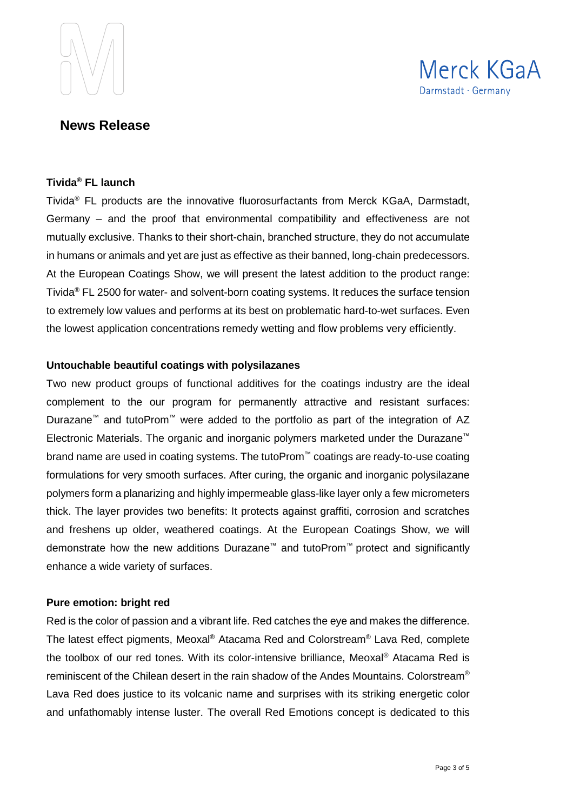



#### **Tivida® FL launch**

Tivida® FL products are the innovative fluorosurfactants from Merck KGaA, Darmstadt, Germany – and the proof that environmental compatibility and effectiveness are not mutually exclusive. Thanks to their short-chain, branched structure, they do not accumulate in humans or animals and yet are just as effective as their banned, long-chain predecessors. At the European Coatings Show, we will present the latest addition to the product range: Tivida<sup>®</sup> FL 2500 for water- and solvent-born coating systems. It reduces the surface tension to extremely low values and performs at its best on problematic hard-to-wet surfaces. Even the lowest application concentrations remedy wetting and flow problems very efficiently.

### **Untouchable beautiful coatings with polysilazanes**

Two new product groups of functional additives for the coatings industry are the ideal complement to the our program for permanently attractive and resistant surfaces: Durazane™ and tutoProm™ were added to the portfolio as part of the integration of AZ Electronic Materials. The organic and inorganic polymers marketed under the Durazane™ brand name are used in coating systems. The tutoProm™ coatings are ready-to-use coating formulations for very smooth surfaces. After curing, the organic and inorganic polysilazane polymers form a planarizing and highly impermeable glass-like layer only a few micrometers thick. The layer provides two benefits: It protects against graffiti, corrosion and scratches and freshens up older, weathered coatings. At the European Coatings Show, we will demonstrate how the new additions Durazane™ and tutoProm™ protect and significantly enhance a wide variety of surfaces.

#### **Pure emotion: bright red**

Red is the color of passion and a vibrant life. Red catches the eye and makes the difference. The latest effect pigments, Meoxal® Atacama Red and Colorstream® Lava Red, complete the toolbox of our red tones. With its color-intensive brilliance, Meoxal® Atacama Red is reminiscent of the Chilean desert in the rain shadow of the Andes Mountains. Colorstream® Lava Red does justice to its volcanic name and surprises with its striking energetic color and unfathomably intense luster. The overall Red Emotions concept is dedicated to this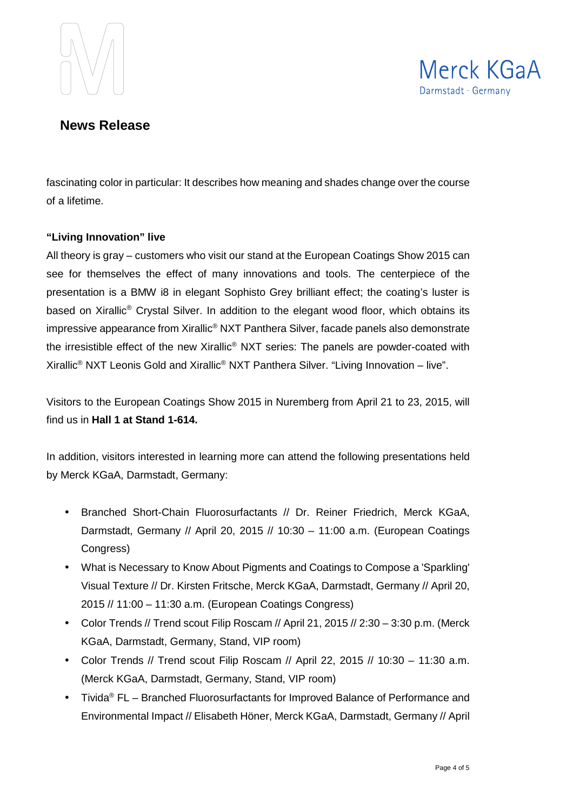



fascinating color in particular: It describes how meaning and shades change over the course of a lifetime.

### **"Living Innovation" live**

All theory is gray – customers who visit our stand at the European Coatings Show 2015 can see for themselves the effect of many innovations and tools. The centerpiece of the presentation is a BMW i8 in elegant Sophisto Grey brilliant effect; the coating's luster is based on Xirallic® Crystal Silver. In addition to the elegant wood floor, which obtains its impressive appearance from Xirallic® NXT Panthera Silver, facade panels also demonstrate the irresistible effect of the new Xirallic® NXT series: The panels are powder-coated with Xirallic<sup>®</sup> NXT Leonis Gold and Xirallic<sup>®</sup> NXT Panthera Silver. "Living Innovation – live".

Visitors to the European Coatings Show 2015 in Nuremberg from April 21 to 23, 2015, will find us in **Hall 1 at Stand 1-614.**

In addition, visitors interested in learning more can attend the following presentations held by Merck KGaA, Darmstadt, Germany:

- Branched Short-Chain Fluorosurfactants // Dr. Reiner Friedrich, Merck KGaA, Darmstadt, Germany // April 20, 2015 // 10:30 – 11:00 a.m. (European Coatings Congress)
- What is Necessary to Know About Pigments and Coatings to Compose a 'Sparkling' Visual Texture // Dr. Kirsten Fritsche, Merck KGaA, Darmstadt, Germany // April 20, 2015 // 11:00 – 11:30 a.m. (European Coatings Congress)
- Color Trends // Trend scout Filip Roscam // April 21, 2015 // 2:30 3:30 p.m. (Merck KGaA, Darmstadt, Germany, Stand, VIP room)
- Color Trends // Trend scout Filip Roscam // April 22, 2015 // 10:30 11:30 a.m. (Merck KGaA, Darmstadt, Germany, Stand, VIP room)
- Tivida<sup>®</sup> FL Branched Fluorosurfactants for Improved Balance of Performance and Environmental Impact // Elisabeth Höner, Merck KGaA, Darmstadt, Germany // April